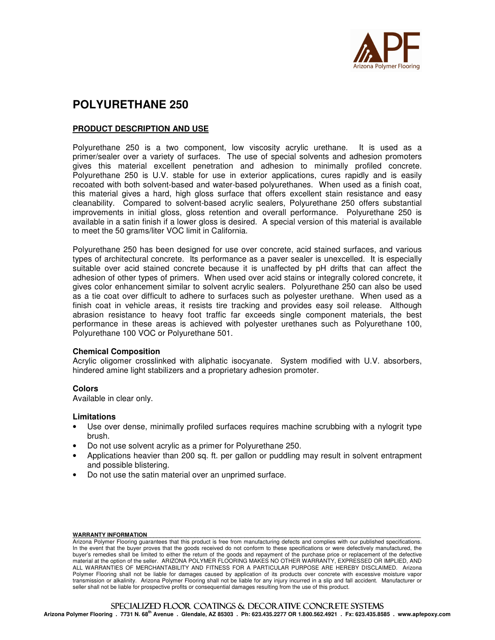

# **POLYURETHANE 250**

# **PRODUCT DESCRIPTION AND USE**

Polyurethane 250 is a two component, low viscosity acrylic urethane. It is used as a primer/sealer over a variety of surfaces. The use of special solvents and adhesion promoters gives this material excellent penetration and adhesion to minimally profiled concrete. Polyurethane 250 is U.V. stable for use in exterior applications, cures rapidly and is easily recoated with both solvent-based and water-based polyurethanes. When used as a finish coat, this material gives a hard, high gloss surface that offers excellent stain resistance and easy cleanability. Compared to solvent-based acrylic sealers, Polyurethane 250 offers substantial improvements in initial gloss, gloss retention and overall performance. Polyurethane 250 is available in a satin finish if a lower gloss is desired. A special version of this material is available to meet the 50 grams/liter VOC limit in California.

Polyurethane 250 has been designed for use over concrete, acid stained surfaces, and various types of architectural concrete. Its performance as a paver sealer is unexcelled. It is especially suitable over acid stained concrete because it is unaffected by pH drifts that can affect the adhesion of other types of primers. When used over acid stains or integrally colored concrete, it gives color enhancement similar to solvent acrylic sealers. Polyurethane 250 can also be used as a tie coat over difficult to adhere to surfaces such as polyester urethane. When used as a finish coat in vehicle areas, it resists tire tracking and provides easy soil release. Although abrasion resistance to heavy foot traffic far exceeds single component materials, the best performance in these areas is achieved with polyester urethanes such as Polyurethane 100, Polyurethane 100 VOC or Polyurethane 501.

### **Chemical Composition**

Acrylic oligomer crosslinked with aliphatic isocyanate. System modified with U.V. absorbers, hindered amine light stabilizers and a proprietary adhesion promoter.

#### **Colors**

Available in clear only.

#### **Limitations**

- Use over dense, minimally profiled surfaces requires machine scrubbing with a nylogrit type brush.
- Do not use solvent acrylic as a primer for Polyurethane 250.
- Applications heavier than 200 sq. ft. per gallon or puddling may result in solvent entrapment and possible blistering.
- Do not use the satin material over an unprimed surface.

#### WARRANTY INFORMATION

Arizona Polymer Flooring guarantees that this product is free from manufacturing defects and complies with our published specifications. In the event that the buyer proves that the goods received do not conform to these specifications or were defectively manufactured, the buyer's remedies shall be limited to either the return of the goods and repayment of the purchase price or replacement of the defective material at the option of the seller. ARIZONA POLYMER FLOORING MAKES NO OTHER WARRANTY, EXPRESSED OR IMPLIED, AND ALL WARRANTIES OF MERCHANTABILITY AND FITNESS FOR A PARTICULAR PURPOSE ARE HEREBY DISCLAIMED. Arizona Polymer Flooring shall not be liable for damages caused by application of its products over concrete with excessive moisture vapor transmission or alkalinity. Arizona Polymer Flooring shall not be liable for any injury incurred in a slip and fall accident. Manufacturer or seller shall not be liable for prospective profits or consequential damages resulting from the use of this product.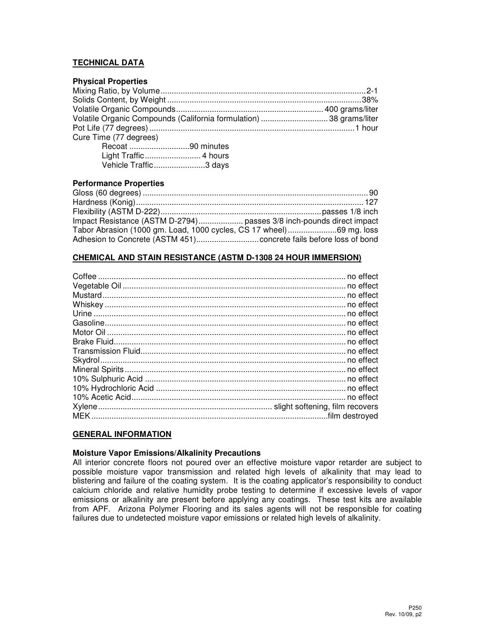# **TECHNICAL DATA**

# **Physical Properties**  Mixing Ratio, by Volume ............................................................................................ 2-1 Solids Content, by Weight ....................................................................................... 38% Volatile Organic Compounds .................................................................. 400 grams/liter Volatile Organic Compounds (California formulation) .............................. 38 grams/liter Pot Life (77 degrees) ............................................................................................ 1 hour Cure Time (77 degrees)

| Recoat 90 minutes     |
|-----------------------|
|                       |
| Vehicle Traffic3 days |

# **Performance Properties**

| Impact Resistance (ASTM D-2794) passes 3/8 inch-pounds direct impact |  |
|----------------------------------------------------------------------|--|
| Tabor Abrasion (1000 gm. Load, 1000 cycles, CS 17 wheel)69 mg. loss  |  |
|                                                                      |  |

# **CHEMICAL AND STAIN RESISTANCE (ASTM D-1308 24 HOUR IMMERSION)**

# **GENERAL INFORMATION**

# **Moisture Vapor Emissions/Alkalinity Precautions**

All interior concrete floors not poured over an effective moisture vapor retarder are subject to possible moisture vapor transmission and related high levels of alkalinity that may lead to blistering and failure of the coating system. It is the coating applicator's responsibility to conduct calcium chloride and relative humidity probe testing to determine if excessive levels of vapor emissions or alkalinity are present before applying any coatings. These test kits are available from APF. Arizona Polymer Flooring and its sales agents will not be responsible for coating failures due to undetected moisture vapor emissions or related high levels of alkalinity.